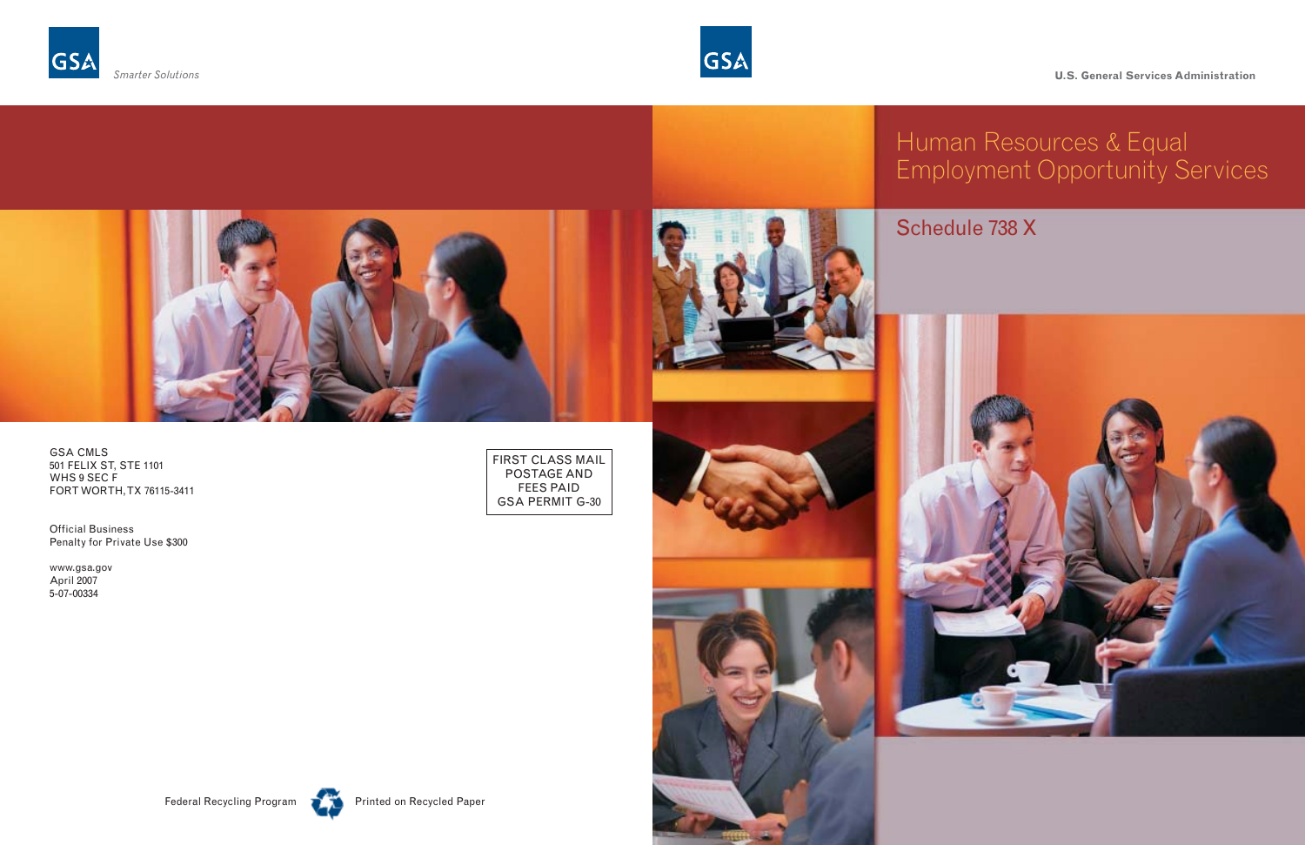GSA CMLS 501 FELIX ST, STE 1101 WHS 9 SEC F FORT WORTH, TX 76115-3411

Official Business Penalty for Private Use \$300

www.gsa.gov April 2007 5-07-00334

FIRST CLASS MAIL POSTAGE AND FEES PAID GSA PERMIT G-30





# Schedule 738 X







# Human Resources & Equal Employment Opportunity Services





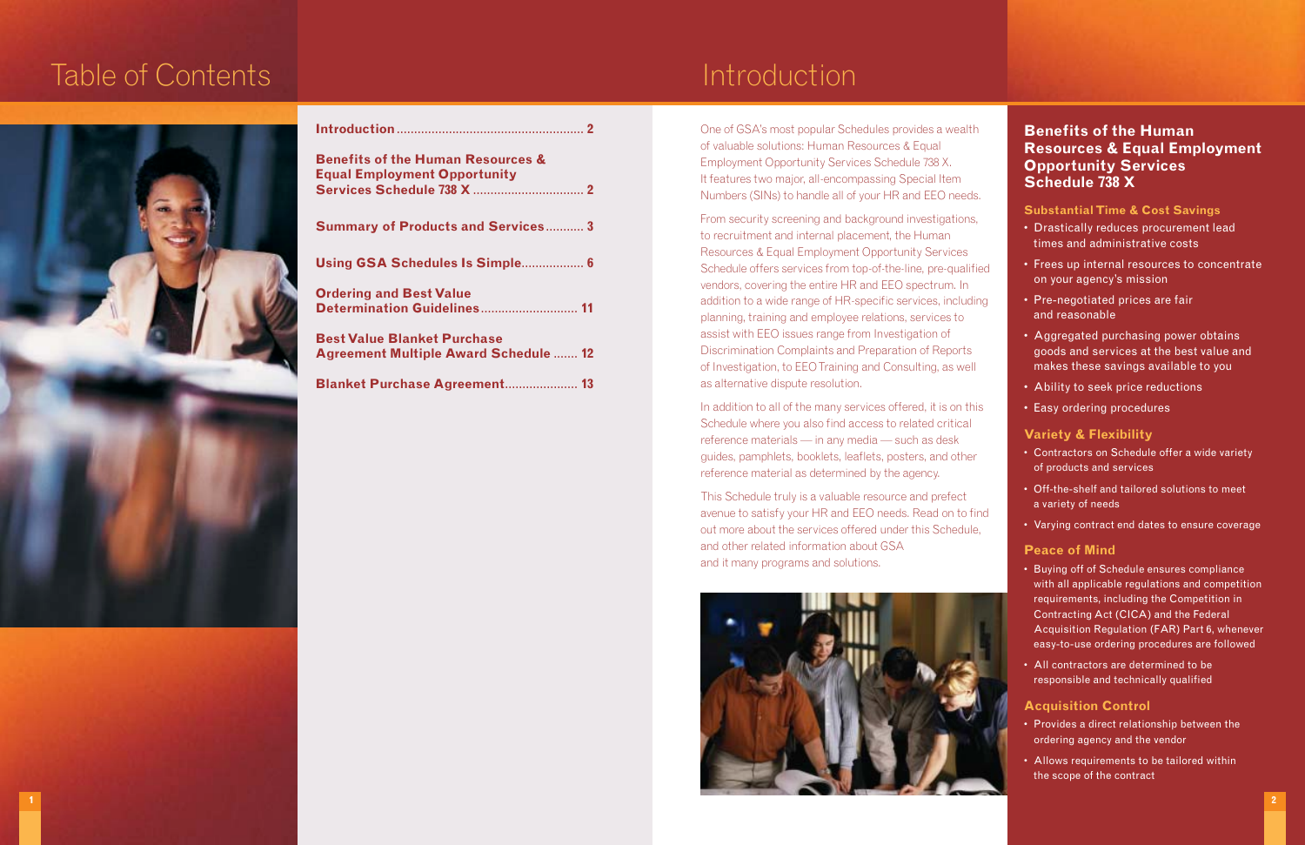- 
- 
- 
- 
- 
- 
- 
- 
- 
- 

One of GSA's most popular Schedules provides a wealth of valuable solutions: Human Resources & Equal Employment Opportunity Services Schedule 738 X. It features two major, all-encompassing Special Item Numbers (SINs) to handle all of your HR and EEO needs.

From security screening and background investigations, to recruitment and internal placement, the Human Resources & Equal Employment Opportunity Services Schedule offers services from top-of-the-line, pre-qualified vendors, covering the entire HR and EEO spectrum. In addition to a wide range of HR-specific services, including planning, training and employee relations, services to assist with EEO issues range from Investigation of Discrimination Complaints and Preparation of Reports of Investigation, to EEO Training and Consulting, as well as alternative dispute resolution.

In addition to all of the many services offered, it is on this Schedule where you also find access to related critical reference materials — in any media — such as desk guides, pamphlets, booklets, leaflets, posters, and other reference material as determined by the agency.

This Schedule truly is a valuable resource and prefect avenue to satisfy your HR and EEO needs. Read on to find out more about the services offered under this Schedule, and other related information about GSA and it many programs and solutions.



# Table of Contents **Introduction**



| <b>Benefits of the Human Resources &amp;</b><br><b>Equal Employment Opportunity</b> |
|-------------------------------------------------------------------------------------|
| <b>Summary of Products and Services 3</b>                                           |
| Using GSA Schedules Is Simple 6                                                     |
| <b>Ordering and Best Value</b><br>Determination Guidelines 11                       |
| <b>Best Value Blanket Purchase</b><br><b>Agreement Multiple Award Schedule  12</b>  |
| <b>Blanket Purchase Agreement 13</b>                                                |

## **Benefits of the Human Resources & Equal Employment Opportunity Services Schedule 738 X**

### **Substantial Time & Cost Savings**

- Drastically reduces procurement lead times and administrative costs
- Frees up internal resources to concentrate on your agency's mission
- Pre-negotiated prices are fair and reasonable
- Aggregated purchasing power obtains goods and services at the best value and makes these savings available to you
- Ability to seek price reductions
- Easy ordering procedures

### **Variety & Flexibility**

- Contractors on Schedule offer a wide variety of products and services
- Off-the-shelf and tailored solutions to meet a variety of needs
- Varying contract end dates to ensure coverage

### **Peace of Mind**

- Buying off of Schedule ensures compliance with all applicable regulations and competition requirements, including the Competition in Contracting Act (CICA) and the Federal Acquisition Regulation (FAR) Part 6, whenever easy-to-use ordering procedures are followed
- All contractors are determined to be responsible and technically qualified

## **Acquisition Control**

- Provides a direct relationship between the ordering agency and the vendor
- Allows requirements to be tailored within the scope of the contract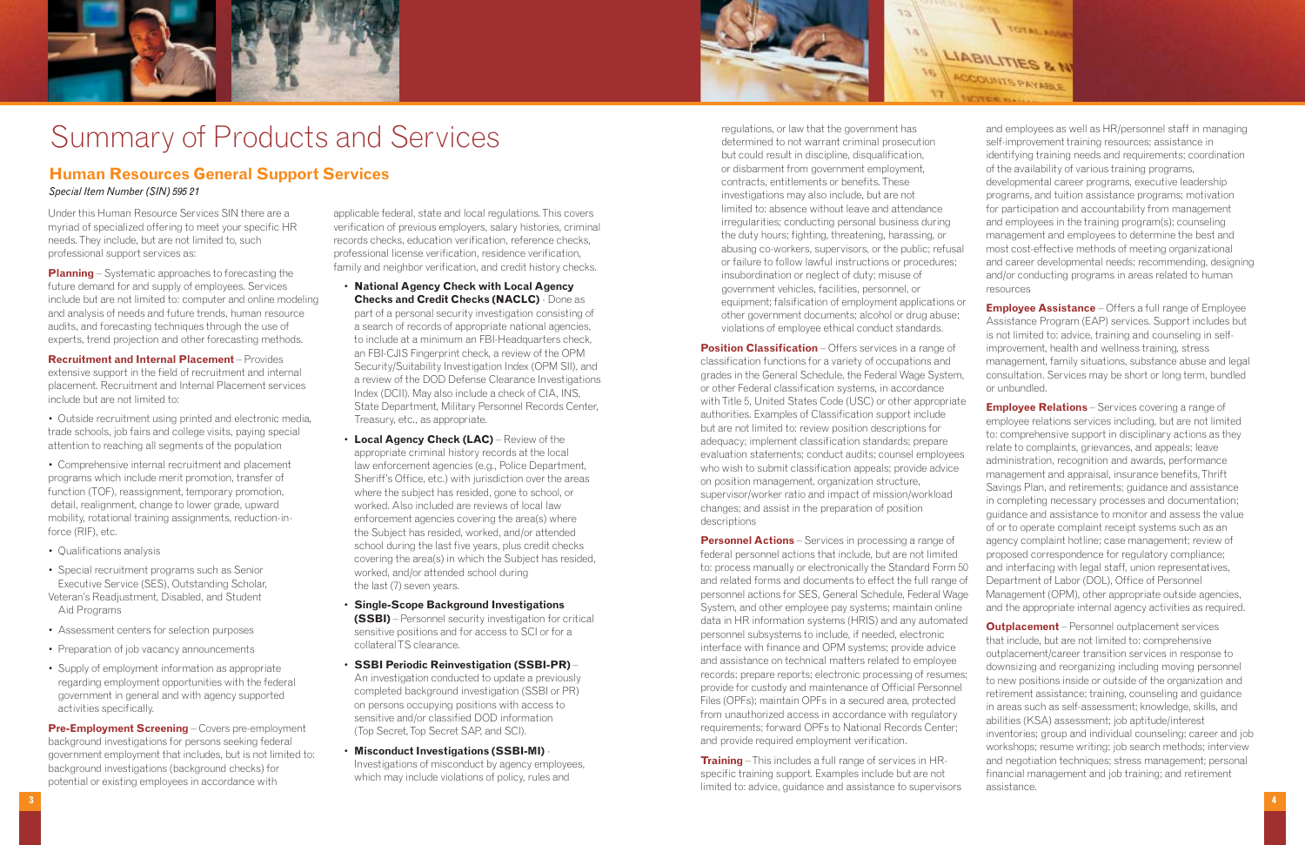Under this Human Resource Services SIN there are a myriad of specialized offering to meet your specific HR needs. They include, but are not limited to, such professional support services as:

**Planning** – Systematic approaches to forecasting the future demand for and supply of employees. Services include but are not limited to: computer and online modeling and analysis of needs and future trends, human resource audits, and forecasting techniques through the use of experts, trend projection and other forecasting methods.

**Recruitment and Internal Placement** – Provides extensive support in the field of recruitment and internal placement. Recruitment and Internal Placement services include but are not limited to:

- Outside recruitment using printed and electronic media, trade schools, job fairs and college visits, paying special attention to reaching all segments of the population
- Comprehensive internal recruitment and placement programs which include merit promotion, transfer of function (TOF), reassignment, temporary promotion, detail, realignment, change to lower grade, upward mobility, rotational training assignments, reduction-inforce (RIF), etc.
- Qualifications analysis
- Special recruitment programs such as Senior Executive Service (SES), Outstanding Scholar, Veteran's Readjustment, Disabled, and Student Aid Programs
- Assessment centers for selection purposes
- Preparation of job vacancy announcements
- Supply of employment information as appropriate regarding employment opportunities with the federal government in general and with agency supported activities specifically.

**Pre-Employment Screening** – Covers pre-employment background investigations for persons seeking federal government employment that includes, but is not limited to: background investigations (background checks) for potential or existing employees in accordance with

applicable federal, state and local regulations. This covers verification of previous employers, salary histories, criminal records checks, education verification, reference checks, professional license verification, residence verification, family and neighbor verification, and credit history checks.

- **National Agency Check with Local Agency Checks and Credit Checks (NACLC)** - Done as part of a personal security investigation consisting of a search of records of appropriate national agencies, to include at a minimum an FBI-Headquarters check, an FBI-CJIS Fingerprint check, a review of the OPM Security/Suitability Investigation Index (OPM SII), and a review of the DOD Defense Clearance Investigations Index (DCII). May also include a check of CIA, INS, State Department, Military Personnel Records Center, Treasury, etc., as appropriate.
- **Local Agency Check (LAC)** Review of the appropriate criminal history records at the local law enforcement agencies (e.g., Police Department, Sheriff's Office, etc.) with jurisdiction over the areas where the subject has resided, gone to school, or worked. Also included are reviews of local law enforcement agencies covering the area(s) where the Subject has resided, worked, and/or attended school during the last five years, plus credit checks covering the area(s) in which the Subject has resided, worked, and/or attended school during the last (7) seven years.
- **Single-Scope Background Investigations (SSBI)** – Personnel security investigation for critical sensitive positions and for access to SCI or for a collateralTS clearance.
- **SSBI Periodic Reinvestigation (SSBI-PR)** An investigation conducted to update a previously completed background investigation (SSBI or PR) on persons occupying positions with access to sensitive and/or classified DOD information (Top Secret, Top Secret SAP, and SCI).
- **Misconduct Investigations (SSBI-MI)** Investigations of misconduct by agency employees, which may include violations of policy, rules and

**Position Classification** – Offers services in a range of classification functions for a variety of occupations and grades in the General Schedule, the Federal Wage System, or other Federal classification systems, in accordance with Title 5, United States Code (USC) or other appropriate authorities. Examples of Classification support include but are not limited to: review position descriptions for adequacy; implement classification standards; prepare evaluation statements; conduct audits; counsel employees who wish to submit classification appeals; provide advice on position management, organization structure, supervisor/worker ratio and impact of mission/workload changes; and assist in the preparation of position descriptions **Personnel Actions** – Services in processing a range of federal personnel actions that include, but are not limited to: process manually or electronically the Standard Form 50 and related forms and documents to effect the full range of personnel actions for SES, General Schedule, Federal Wage System, and other employee pay systems; maintain online or unbundled. **Employee Relations** – Services covering a range of employee relations services including, but are not limited to: comprehensive support in disciplinary actions as they relate to complaints, grievances, and appeals; leave administration, recognition and awards, performance management and appraisal, insurance benefits, Thrift Savings Plan, and retirements; guidance and assistance in completing necessary processes and documentation; guidance and assistance to monitor and assess the value of or to operate complaint receipt systems such as an agency complaint hotline; case management; review of proposed correspondence for regulatory compliance; and interfacing with legal staff, union representatives, Department of Labor (DOL), Office of Personnel Management (OPM), other appropriate outside agencies, and the appropriate internal agency activities as required.

regulations, or law that the government has determined to not warrant criminal prosecution but could result in discipline, disqualification, or disbarment from government employment, contracts, entitlements or benefits. These investigations may also include, but are not limited to: absence without leave and attendance irregularities; conducting personal business during the duty hours; fighting, threatening, harassing, or abusing co-workers, supervisors, or the public; refusal or failure to follow lawful instructions or procedures; insubordination or neglect of duty; misuse of government vehicles, facilities, personnel, or equipment; falsification of employment applications or other government documents; alcohol or drug abuse; violations of employee ethical conduct standards.

data in HR information systems (HRIS) and any automated personnel subsystems to include, if needed, electronic interface with finance and OPM systems; provide advice and assistance on technical matters related to employee records; prepare reports; electronic processing of resumes; provide for custody and maintenance of Official Personnel Files (OPFs); maintain OPFs in a secured area, protected from unauthorized access in accordance with regulatory requirements; forward OPFs to National Records Center; and provide required employment verification.

**Training** – This includes a full range of services in HRspecific training support. Examples include but are not limited to: advice, guidance and assistance to supervisors

and employees as well as HR/personnel staff in managing self-improvement training resources; assistance in identifying training needs and requirements; coordination of the availability of various training programs, developmental career programs, executive leadership programs, and tuition assistance programs; motivation for participation and accountability from management and employees in the training program(s); counseling management and employees to determine the best and most cost-effective methods of meeting organizational

- and career developmental needs; recommending, designing and/or conducting programs in areas related to human resources
- **Employee Assistance** Offers a full range of Employee Assistance Program (EAP) services. Support includes but is not limited to: advice, training and counseling in selfimprovement, health and wellness training, stress management, family situations, substance abuse and legal consultation. Services may be short or long term, bundled

**Outplacement** – Personnel outplacement services that include, but are not limited to: comprehensive outplacement/career transition services in response to downsizing and reorganizing including moving personnel to new positions inside or outside of the organization and retirement assistance; training, counseling and guidance in areas such as self-assessment; knowledge, skills, and abilities (KSA) assessment; job aptitude/interest inventories; group and individual counseling; career and job workshops; resume writing; job search methods; interview and negotiation techniques; stress management; personal financial management and job training; and retirement assistance.

## **Human Resources General Support Services**

*Special Item Number (SIN) 595 21*





# Summary of Products and Services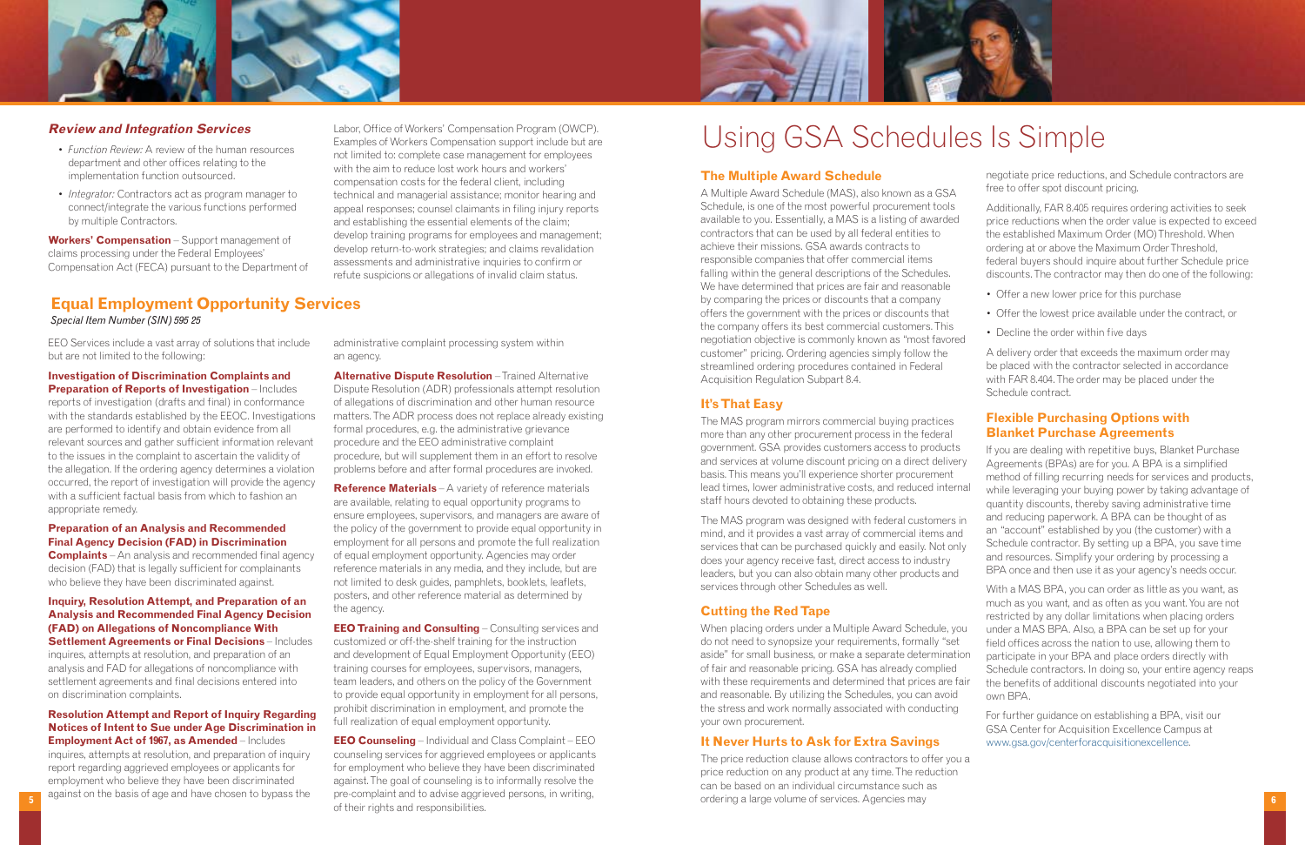

#### **Review and Integration Services**

- *Function Review:* A review of the human resources department and other offices relating to the implementation function outsourced.
- *Integrator:* Contractors act as program manager to connect/integrate the various functions performed by multiple Contractors.

**Workers' Compensation** – Support management of claims processing under the Federal Employees' Compensation Act (FECA) pursuant to the Department of

Labor, Office of Workers' Compensation Program (OWCP). Examples of Workers Compensation support include but are not limited to: complete case management for employees with the aim to reduce lost work hours and workers' compensation costs for the federal client, including technical and managerial assistance; monitor hearing and appeal responses; counsel claimants in filing injury reports and establishing the essential elements of the claim; develop training programs for employees and management; develop return-to-work strategies; and claims revalidation assessments and administrative inquiries to confirm or refute suspicions or allegations of invalid claim status.

#### **The Multiple Award Schedule**

The MAS program was designed with federal customers mind, and it provides a vast array of commercial items and services that can be purchased quickly and easily. Not only does your agency receive fast, direct access to industry leaders, but you can also obtain many other products and services through other Schedules as well.

A Multiple Award Schedule (MAS), also known as a GSA Schedule, is one of the most powerful procurement tools available to you. Essentially, a MAS is a listing of awarded contractors that can be used by all federal entities to achieve their missions. GSA awards contracts to responsible companies that offer commercial items falling within the general descriptions of the Schedules. We have determined that prices are fair and reasonable by comparing the prices or discounts that a company offers the government with the prices or discounts that the company offers its best commercial customers. This negotiation objective is commonly known as "most favored customer" pricing. Ordering agencies simply follow the streamlined ordering procedures contained in Federal Acquisition Regulation Subpart 8.4.

When placing orders under a Multiple Award Schedule, you do not need to synopsize your requirements, formally "set aside" for small business, or make a separate determination of fair and reasonable pricing. GSA has already complied with these requirements and determined that prices are fairand reasonable. By utilizing the Schedules, you can avoid the stress and work normally associated with conducting your own procurement.

#### **It's That Easy**

The MAS program mirrors commercial buying practices more than any other procurement process in the federal government. GSA provides customers access to products and services at volume discount pricing on a direct deliver basis. This means you'll experience shorter procurement lead times, lower administrative costs, and reduced intern staff hours devoted to obtaining these products.

#### **Cutting the Red Tape**

#### **It Never Hurts to Ask for Extra Savings**

**Complaints** – An analysis and recommended final agency decision (FAD) that is legally sufficient for complainants who believe they have been discriminated against.

> The price reduction clause allows contractors to offer you a price reduction on any product at any time. The reduction can be based on an individual circumstance such as ordering a large volume of services. Agencies may

negotiate price reductions, and Schedule contractors are free to offer spot discount pricing.

Additionally, FAR 8.405 requires ordering activities to seek price reductions when the order value is expected to exceed the established Maximum Order (MO) Threshold. When ordering at or above the Maximum Order Threshold, federal buyers should inquire about further Schedule price discounts. The contractor may then do one of the following:

- Offer a new lower price for this purchase
- Offer the lowest price available under the contract, or
- 
- Decline the order within five days

A delivery order that exceeds the maximum order may be placed with the contractor selected in accordance with FAR 8.404. The order may be placed under the Schedule contract.

### **Flexible Purchasing Options with Blanket Purchase Agreements**

**EEO Training and Consulting** – Consulting services and customized or off-the-shelf training for the instruction and development of Equal Employment Opportunity (EEO) training courses for employees, supervisors, managers, team leaders, and others on the policy of the Government to provide equal opportunity in employment for all persons, prohibit discrimination in employment, and promote the full realization of equal employment opportunity.

| š.<br>ry<br>hal<br>in<br>d<br>ly | If you are dealing with repetitive buys, Blanket Purchase<br>Agreements (BPAs) are for you. A BPA is a simplified<br>method of filling recurring needs for services and products,<br>while leveraging your buying power by taking advantage of<br>quantity discounts, thereby saving administrative time<br>and reducing paperwork. A BPA can be thought of as<br>an "account" established by you (the customer) with a<br>Schedule contractor. By setting up a BPA, you save time<br>and resources. Simplify your ordering by processing a<br>BPA once and then use it as your agency's needs occur. |
|----------------------------------|-------------------------------------------------------------------------------------------------------------------------------------------------------------------------------------------------------------------------------------------------------------------------------------------------------------------------------------------------------------------------------------------------------------------------------------------------------------------------------------------------------------------------------------------------------------------------------------------------------|
| ЭU<br>on<br>air                  | With a MAS BPA, you can order as little as you want, as<br>much as you want, and as often as you want. You are not<br>restricted by any dollar limitations when placing orders<br>under a MAS BPA. Also, a BPA can be set up for your<br>field offices across the nation to use, allowing them to<br>participate in your BPA and place orders directly with<br>Schedule contractors. In doing so, your entire agency reaps<br>the benefits of additional discounts negotiated into your<br>own BPA.                                                                                                   |
|                                  | For further guidance on establishing a BPA, visit our<br><b>GSA Center for Acquisition Excellence Campus at</b>                                                                                                                                                                                                                                                                                                                                                                                                                                                                                       |

www.gsa.gov/centerforacquisitionexcellence.



EEO Services include a vast array of solutions that include but are not limited to the following:

**Investigation of Discrimination Complaints and Preparation of Reports of Investigation** – Includes reports of investigation (drafts and final) in conformance with the standards established by the EEOC. Investigations are performed to identify and obtain evidence from all relevant sources and gather sufficient information relevant to the issues in the complaint to ascertain the validity of the allegation. If the ordering agency determines a violation occurred, the report of investigation will provide the agency with a sufficient factual basis from which to fashion an appropriate remedy.

#### **Preparation of an Analysis and Recommended Final Agency Decision (FAD) in Discrimination**

#### **Inquiry, Resolution Attempt, and Preparation of an Analysis and Recommended Final Agency Decision (FAD) on Allegations of Noncompliance With Settlement Agreements or Final Decisions** – Includes inquires, attempts at resolution, and preparation of an analysis and FAD for allegations of noncompliance with settlement agreements and final decisions entered into on discrimination complaints.

#### **Resolution Attempt and Report of Inquiry Regarding Notices of Intent to Sue under Age Discrimination in Employment Act of 1967, as Amended** – Includes

inquires, attempts at resolution, and preparation of inquiry report regarding aggrieved employees or applicants for employment who believe they have been discriminated against on the basis of age and have chosen to bypass the administrative complaint processing system within an agency.

**Alternative Dispute Resolution** – Trained Alternative Dispute Resolution (ADR) professionals attempt resolution of allegations of discrimination and other human resource matters. The ADR process does not replace already existing formal procedures, e.g. the administrative grievance procedure and the EEO administrative complaint procedure, but will supplement them in an effort to resolve problems before and after formal procedures are invoked.

**Reference Materials** – A variety of reference materials are available, relating to equal opportunity programs to ensure employees, supervisors, and managers are aware of the policy of the government to provide equal opportunity in employment for all persons and promote the full realization of equal employment opportunity. Agencies may order reference materials in any media, and they include, but are not limited to desk guides, pamphlets, booklets, leaflets, posters, and other reference material as determined by the agency.

**EEO Counseling** – Individual and Class Complaint – EEO counseling services for aggrieved employees or applicants for employment who believe they have been discriminated against. The goal of counseling is to informally resolve the pre-complaint and to advise aggrieved persons, in writing, of their rights and responsibilities.

**Equal Employment Opportunity Services** 

*Special Item Number (SIN) 595 25*

# Using GSA Schedules Is Simple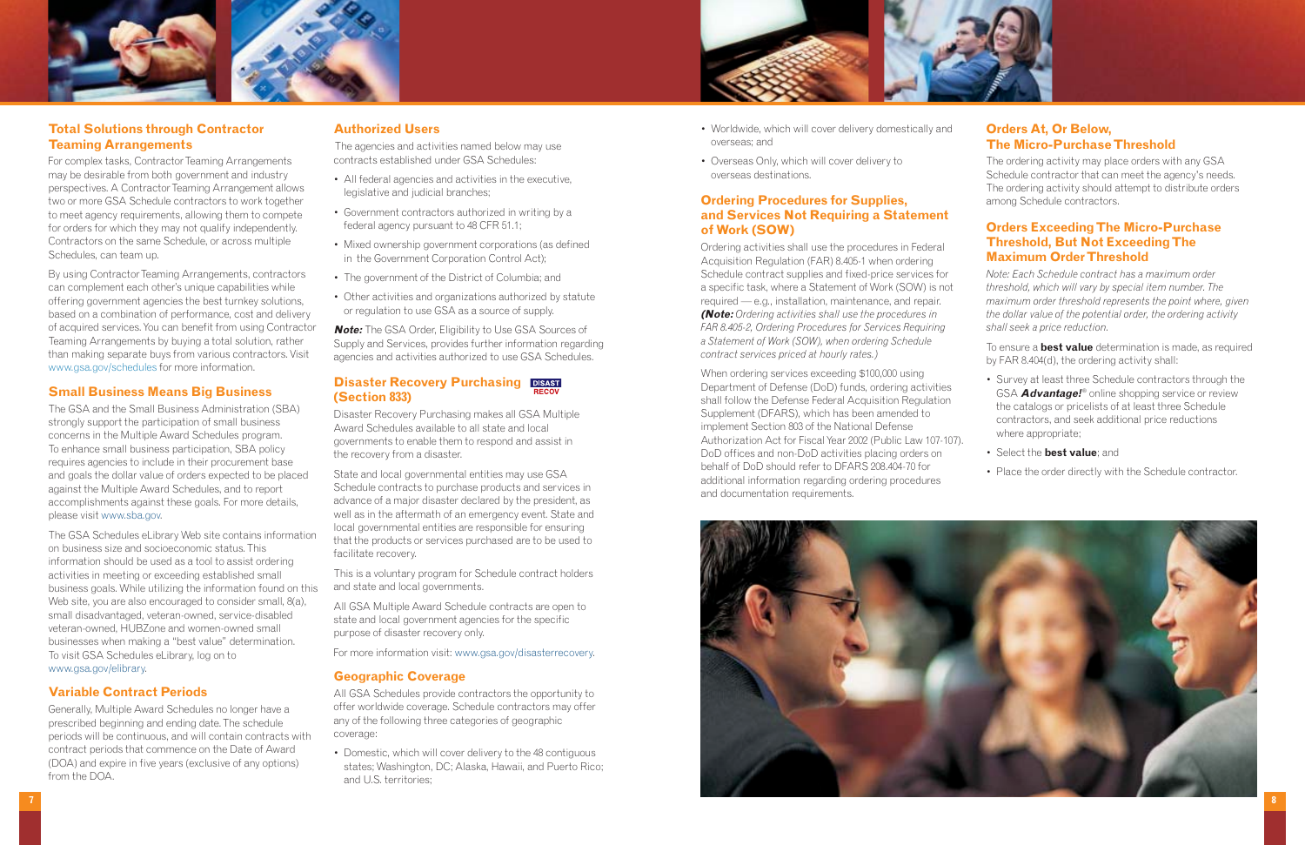





#### **Total Solutions through Contractor Teaming Arrangements**

For complex tasks, Contractor Teaming Arrangements may be desirable from both government and industry perspectives. A Contractor Teaming Arrangement allows two or more GSA Schedule contractors to work together to meet agency requirements, allowing them to compete for orders for which they may not qualify independently. Contractors on the same Schedule, or across multiple Schedules, can team up.

By using Contractor Teaming Arrangements, contractors can complement each other's unique capabilities while offering government agencies the best turnkey solutions, based on a combination of performance, cost and delivery of acquired services. You can benefit from using Contractor Teaming Arrangements by buying a total solution, rather than making separate buys from various contractors. Visit www.gsa.gov/schedules for more information.

#### **Small Business Means Big Business**

The GSA and the Small Business Administration (SBA) strongly support the participation of small business concerns in the Multiple Award Schedules program. To enhance small business participation, SBA policy requires agencies to include in their procurement base and goals the dollar value of orders expected to be placed against the Multiple Award Schedules, and to report accomplishments against these goals. For more details, please visit www.sba.gov.

#### **Disaster Recovery Purchasing DISAST (Section 833)**

The GSA Schedules eLibrary Web site contains information on business size and socioeconomic status. This information should be used as a tool to assist ordering activities in meeting or exceeding established small business goals. While utilizing the information found on this Web site, you are also encouraged to consider small, 8(a), small disadvantaged, veteran-owned, service-disabled veteran-owned, HUBZone and women-owned small businesses when making a "best value" determination. To visit GSA Schedules eLibrary, log on to www.gsa.gov/elibrary.

#### **Variable Contract Periods**

Generally, Multiple Award Schedules no longer have a prescribed beginning and ending date. The schedule periods will be continuous, and will contain contracts with contract periods that commence on the Date of Award (DOA) and expire in five years (exclusive of any options) from the DOA.

#### **Authorized Users**

The agencies and activities named below may use contracts established under GSA Schedules:

- All federal agencies and activities in the executive, legislative and judicial branches;
- Government contractors authorized in writing by a federal agency pursuant to 48 CFR 51.1;
- Mixed ownership government corporations (as defined in the Government Corporation Control Act);
- The government of the District of Columbia; and
- Other activities and organizations authorized by statute or regulation to use GSA as a source of supply.

**Note:** The GSA Order, Eligibility to Use GSA Sources of Supply and Services, provides further information regarding agencies and activities authorized to use GSA Schedules.

Disaster Recovery Purchasing makes all GSA Multiple Award Schedules available to all state and local governments to enable them to respond and assist in the recovery from a disaster.

State and local governmental entities may use GSA Schedule contracts to purchase products and services in advance of a major disaster declared by the president, as well as in the aftermath of an emergency event. State and local governmental entities are responsible for ensuring that the products or services purchased are to be used to facilitate recovery.

This is a voluntary program for Schedule contract holders and state and local governments.

All GSA Multiple Award Schedule contracts are open to state and local government agencies for the specific purpose of disaster recovery only.

For more information visit: www.gsa.gov/disasterrecovery.

#### **Geographic Coverage**

All GSA Schedules provide contractors the opportunity to offer worldwide coverage. Schedule contractors may offer any of the following three categories of geographic coverage:

• Domestic, which will cover delivery to the 48 contiguous states; Washington, DC; Alaska, Hawaii, and Puerto Rico; and U.S. territories;

- Worldwide, which will cover delivery domestically and overseas; and
- Overseas Only, which will cover delivery to overseas destinations.

#### **Ordering Procedures for Supplies, and Services Not Requiring a Statement of Work (SOW)**

Ordering activities shall use the procedures in Federal Acquisition Regulation (FAR) 8.405-1 when ordering Schedule contract supplies and fixed-price services for a specific task, where a Statement of Work (SOW) is not required — e.g., installation, maintenance, and repair. **(Note:** *Ordering activities shall use the procedures in FAR 8.405-2, Ordering Procedures for Services Requiring a Statement of Work (SOW), when ordering Schedule contract services priced at hourly rates.)*

When ordering services exceeding \$100,000 using Department of Defense (DoD) funds, ordering activities shall follow the Defense Federal Acquisition Regulation Supplement (DFARS), which has been amended to implement Section 803 of the National Defense Authorization Act for Fiscal Year 2002 (Public Law 107-107). DoD offices and non-DoD activities placing orders on behalf of DoD should refer to DFARS 208.404-70 for additional information regarding ordering procedures and documentation requirements.

### **Orders At, Or Below, The Micro-Purchase Threshold**

The ordering activity may place orders with any GSA Schedule contractor that can meet the agency's needs. The ordering activity should attempt to distribute orders among Schedule contractors.

### **Orders Exceeding The Micro-Purchase Threshold, But Not Exceeding The Maximum Order Threshold**

*Note: Each Schedule contract has a maximum order threshold, which will vary by special item number. The maximum order threshold represents the point where, given the dollar value of the potential order, the ordering activity shall seek a price reduction.*

To ensure a **best value** determination is made, as required by FAR 8.404(d), the ordering activity shall:

- Survey at least three Schedule contractors through the GSA **Advantage!**® online shopping service or review the catalogs or pricelists of at least three Schedule contractors, and seek additional price reductions where appropriate;
- 
- Select the **best value**; and
- Place the order directly with the Schedule contractor.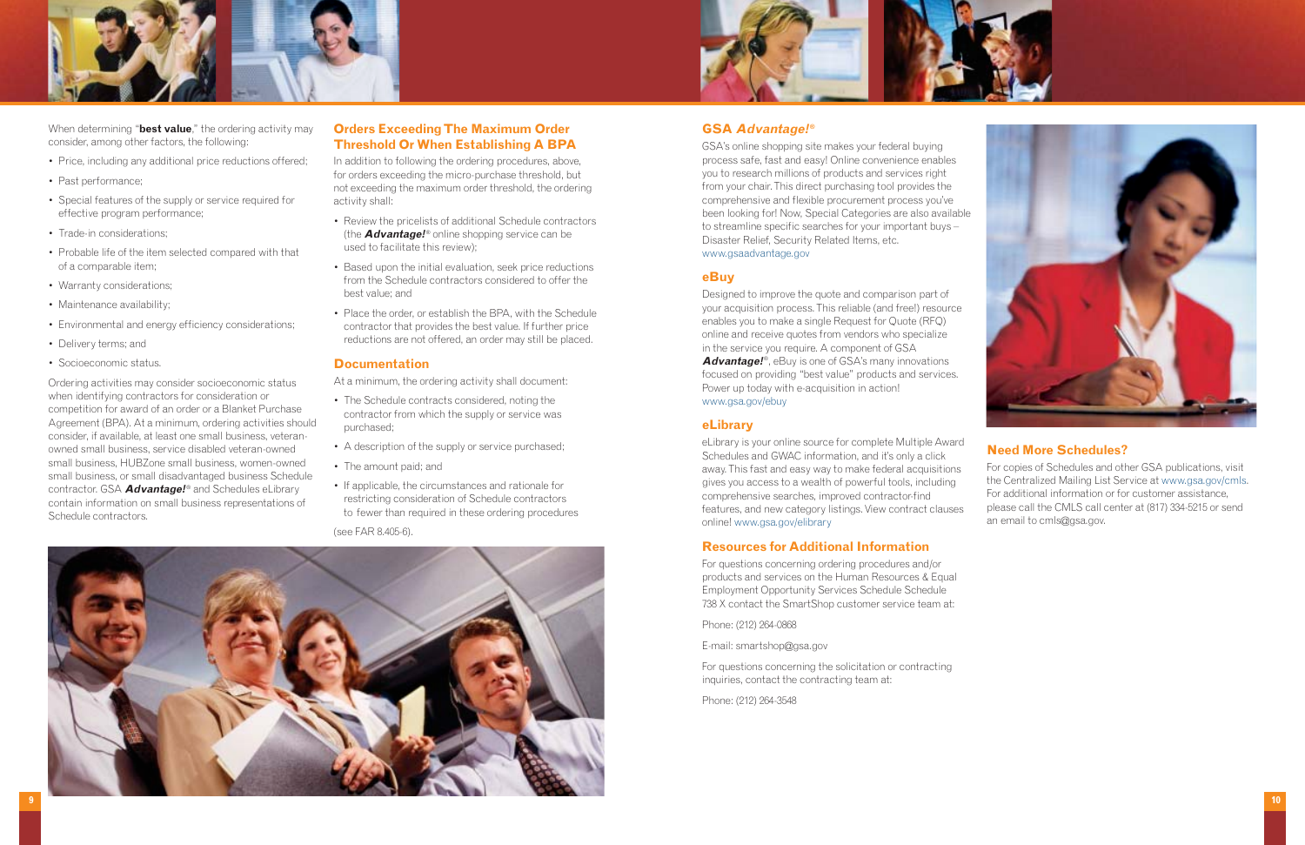





When determining "**best value**," the ordering activity may consider, among other factors, the following:

- Price, including any additional price reductions offered;
- Past performance;
- Special features of the supply or service required for effective program performance;
- Trade-in considerations:
- Probable life of the item selected compared with that of a comparable item;
- Warranty considerations;
- Maintenance availability;
- Environmental and energy efficiency considerations;
- Delivery terms; and
- Socioeconomic status.

Ordering activities may consider socioeconomic status when identifying contractors for consideration or competition for award of an order or a Blanket Purchase Agreement (BPA). At a minimum, ordering activities should consider, if available, at least one small business, veteranowned small business, service disabled veteran-owned small business, HUBZone small business, women-owned small business, or small disadvantaged business Schedule contractor. GSA **Advantage!**® and Schedules eLibrary contain information on small business representations of Schedule contractors.

### **Orders Exceeding The Maximum Order Threshold Or When Establishing A BPA**

In addition to following the ordering procedures, above, for orders exceeding the micro-purchase threshold, but not exceeding the maximum order threshold, the ordering activity shall:

- Review the pricelists of additional Schedule contractors (the **Advantage!**® online shopping service can be used to facilitate this review);
- Based upon the initial evaluation, seek price reductions from the Schedule contractors considered to offer the best value; and
- Place the order, or establish the BPA, with the Schedule contractor that provides the best value. If further price reductions are not offered, an order may still be placed.

#### **Documentation**

At a minimum, the ordering activity shall document:

- The Schedule contracts considered, noting the contractor from which the supply or service was purchased;
- A description of the supply or service purchased;
- The amount paid; and
- If applicable, the circumstances and rationale for restricting consideration of Schedule contractors to fewer than required in these ordering procedures

(see FAR 8.405-6).

### **GSA Advantage!®**

GSA's online shopping site makes your federal buying process safe, fast and easy! Online convenience enables you to research millions of products and services right from your chair. This direct purchasing tool provides the comprehensive and flexible procurement process you've been looking for! Now, Special Categories are also available to streamline specific searches for your important buys – Disaster Relief, Security Related Items, etc. www.gsaadvantage.gov

#### **eBuy**

Designed to improve the quote and comparison part of your acquisition process. This reliable (and free!) resource enables you to make a single Request for Quote (RFQ) online and receive quotes from vendors who specialize in the service you require. A component of GSA **Advantage!**®, eBuy is one of GSA's many innovations focused on providing "best value" products and services. Power up today with e-acquisition in action! www.gsa.gov/ebuy

#### **eLibrary**

#### **Resources for Additional Information**

For questions concerning ordering procedures and/or products and services on the Human Resources & Equal Employment Opportunity Services Schedule Schedule 738 X contact the SmartShop customer service team at:

eLibrary is your online source for complete Multiple Award Schedules and GWAC information, and it's only a click away. This fast and easy way to make federal acquisitions gives you access to a wealth of powerful tools, including comprehensive searches, improved contractor-find features, and new category listings. View contract clauses online! www.gsa.gov/elibrary **Need More Schedules?** For copies of Schedules and other GSA publications, visit the Centralized Mailing List Service at www.gsa.gov/cmls. For additional information or for customer assistance, please call the CMLS call center at (817) 334-5215 or send an email to cmls@gsa.gov.

Phone: (212) 264-0868

E-mail: smartshop@gsa.gov

For questions concerning the solicitation or contracting inquiries, contact the contracting team at:

Phone: (212) 264-3548

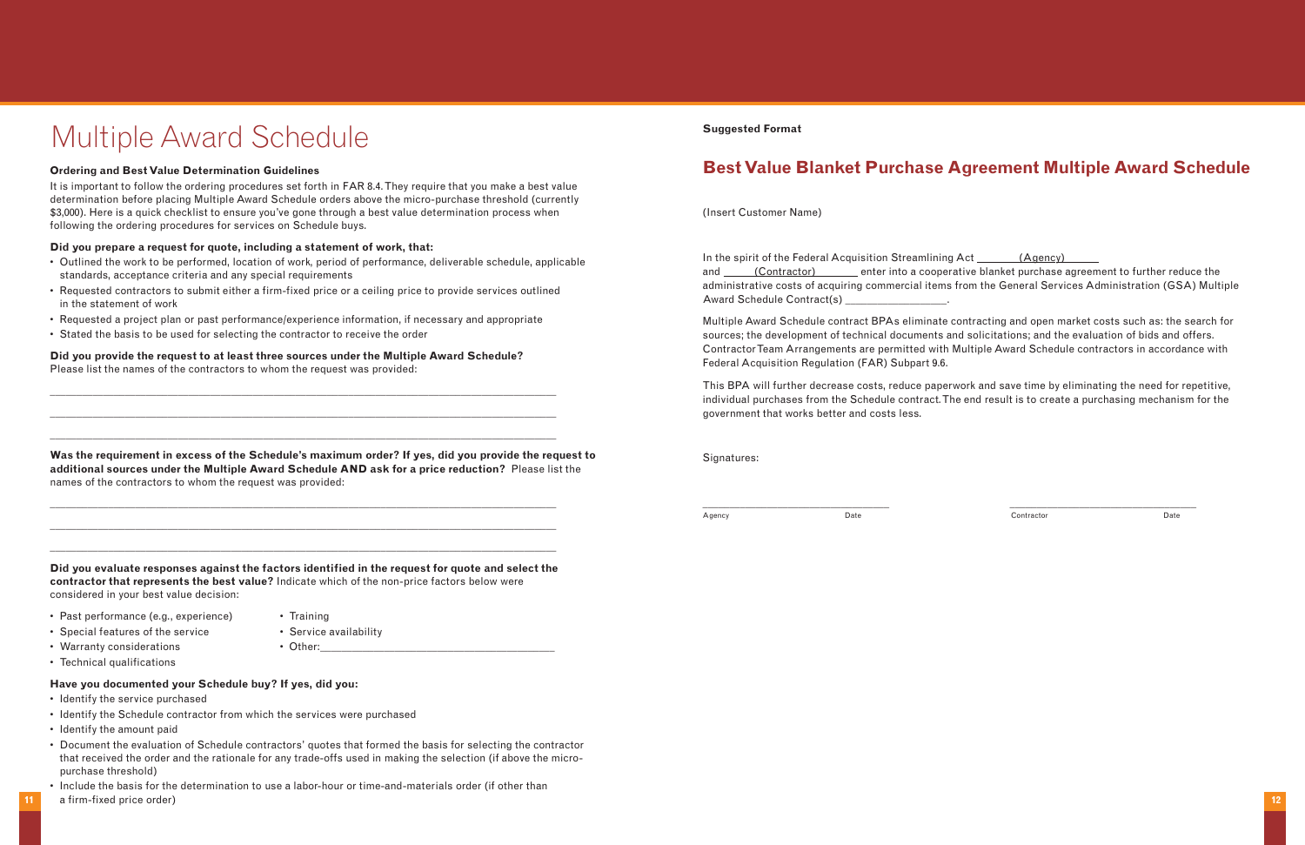# Multiple Award Schedule

#### **Ordering and Best Value Determination Guidelines**

It is important to follow the ordering procedures set forth in FAR 8.4. They require that you make a best value determination before placing Multiple Award Schedule orders above the micro-purchase threshold (currently \$3,000). Here is a quick checklist to ensure you've gone through a best value determination process when following the ordering procedures for services on Schedule buys.

#### **Did you prepare a request for quote, including a statement of work, that:**

- Outlined the work to be performed, location of work, period of performance, deliverable schedule, applicable standards, acceptance criteria and any special requirements
- Requested contractors to submit either a firm-fixed price or a ceiling price to provide services outlined in the statement of work
- Requested a project plan or past performance/experience information, if necessary and appropriate

• Stated the basis to be used for selecting the contractor to receive the order

## **Did you provide the request to at least three sources under the Multiple Award Schedule?**

Please list the names of the contractors to whom the request was provided:

- Past performance (e.g., experience) Training
	-
- Special features of the service Service availability
- Warranty considerations  **Other: Other:** 
	-
	-
- 
- Technical qualifications

\_\_\_\_\_\_\_\_\_\_\_\_\_\_\_\_\_\_\_\_\_\_\_\_\_\_\_\_\_\_\_\_\_\_\_\_\_\_\_\_\_\_\_\_\_\_\_\_\_\_\_\_\_\_\_\_\_\_\_\_\_\_\_\_\_\_\_\_\_\_\_\_\_\_\_\_\_\_\_\_\_\_\_\_\_\_\_\_\_\_\_\_\_\_\_

\_\_\_\_\_\_\_\_\_\_\_\_\_\_\_\_\_\_\_\_\_\_\_\_\_\_\_\_\_\_\_\_\_\_\_\_\_\_\_\_\_\_\_\_\_\_\_\_\_\_\_\_\_\_\_\_\_\_\_\_\_\_\_\_\_\_\_\_\_\_\_\_\_\_\_\_\_\_\_\_\_\_\_\_\_\_\_\_\_\_\_\_\_\_\_

\_\_\_\_\_\_\_\_\_\_\_\_\_\_\_\_\_\_\_\_\_\_\_\_\_\_\_\_\_\_\_\_\_\_\_\_\_\_\_\_\_\_\_\_\_\_\_\_\_\_\_\_\_\_\_\_\_\_\_\_\_\_\_\_\_\_\_\_\_\_\_\_\_\_\_\_\_\_\_\_\_\_\_\_\_\_\_\_\_\_\_\_\_\_\_

**Was the requirement in excess of the Schedule's maximum order? If yes, did you provide the request to additional sources under the Multiple Award Schedule AND ask for a price reduction?** Please list the names of the contractors to whom the request was provided:

\_\_\_\_\_\_\_\_\_\_\_\_\_\_\_\_\_\_\_\_\_\_\_\_\_\_\_\_\_\_\_\_\_\_\_\_\_\_\_\_\_\_\_\_\_\_\_\_\_\_\_\_\_\_\_\_\_\_\_\_\_\_\_\_\_\_\_\_\_\_\_\_\_\_\_\_\_\_\_\_\_\_\_\_\_\_\_\_\_\_\_\_\_\_\_

\_\_\_\_\_\_\_\_\_\_\_\_\_\_\_\_\_\_\_\_\_\_\_\_\_\_\_\_\_\_\_\_\_\_\_\_\_\_\_\_\_\_\_\_\_\_\_\_\_\_\_\_\_\_\_\_\_\_\_\_\_\_\_\_\_\_\_\_\_\_\_\_\_\_\_\_\_\_\_\_\_\_\_\_\_\_\_\_\_\_\_\_\_\_\_

\_\_\_\_\_\_\_\_\_\_\_\_\_\_\_\_\_\_\_\_\_\_\_\_\_\_\_\_\_\_\_\_\_\_\_\_\_\_\_\_\_\_\_\_\_\_\_\_\_\_\_\_\_\_\_\_\_\_\_\_\_\_\_\_\_\_\_\_\_\_\_\_\_\_\_\_\_\_\_\_\_\_\_\_\_\_\_\_\_\_\_\_\_\_\_

**Did you evaluate responses against the factors identified in the request for quote and select the contractor that represents the best value?** Indicate which of the non-price factors below were considered in your best value decision:

# **Have you documented your Schedule buy? If yes, did you:**

- Identify the service purchased
- Identify the Schedule contractor from which the services were purchased
- Identify the amount paid
- Document the evaluation of Schedule contractors' quotes that formed the basis for selecting the contractor that received the order and the rationale for any trade-offs used in making the selection (if above the micropurchase threshold)
- Include the basis for the determination to use a labor-hour or time-and-materials order (if other than
- a firm-fixed price order) **12**

#### **Suggested Format**

# **Best Value Blanket Purchase Agreement Multiple Award Schedule**

(Insert Customer Name)

In the spirit of the Federal Acquisition Streamlining Act \_\_\_\_\_\_\_ (Agency) and (Contractor) enter into a cooperative blanket purchase agreement to further reduce the administrative costs of acquiring commercial items from the General Services Administration (GSA) Multiple Award Schedule Contract(s) \_\_\_\_\_\_\_\_\_\_\_\_\_\_\_\_\_.

Multiple Award Schedule contract BPAs eliminate contracting and open market costs such as: the search for sources; the development of technical documents and solicitations; and the evaluation of bids and offers. Contractor Team Arrangements are permitted with Multiple Award Schedule contractors in accordance with Federal Acquisition Regulation (FAR) Subpart 9.6.

This BPA will further decrease costs, reduce paperwork and save time by eliminating the need for repetitive, individual purchases from the Schedule contract. The end result is to create a purchasing mechanism for the government that works better and costs less.

Signatures:

\_\_\_\_\_\_\_\_\_\_\_\_\_\_\_\_\_\_\_\_\_\_\_\_\_\_\_\_\_\_\_\_\_\_\_ \_\_\_\_\_\_\_\_\_\_\_\_\_\_\_\_\_\_\_\_\_\_\_\_\_\_\_\_\_\_\_\_\_\_\_

Agency Date Contractor Date